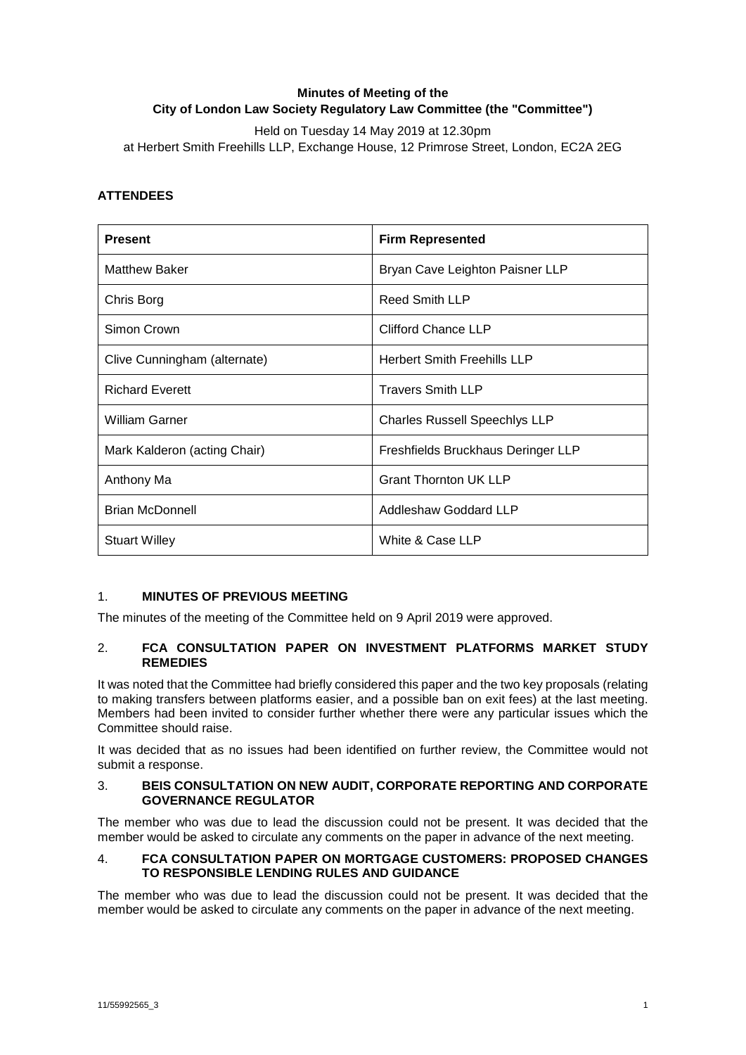# **Minutes of Meeting of the City of London Law Society Regulatory Law Committee (the "Committee")**

Held on Tuesday 14 May 2019 at 12.30pm at Herbert Smith Freehills LLP, Exchange House, 12 Primrose Street, London, EC2A 2EG

## **ATTENDEES**

| <b>Present</b>               | <b>Firm Represented</b>              |
|------------------------------|--------------------------------------|
| <b>Matthew Baker</b>         | Bryan Cave Leighton Paisner LLP      |
| Chris Borg                   | Reed Smith LLP                       |
| Simon Crown                  | Clifford Chance LLP                  |
| Clive Cunningham (alternate) | <b>Herbert Smith Freehills LLP</b>   |
| <b>Richard Everett</b>       | <b>Travers Smith LLP</b>             |
| <b>William Garner</b>        | <b>Charles Russell Speechlys LLP</b> |
| Mark Kalderon (acting Chair) | Freshfields Bruckhaus Deringer LLP   |
| Anthony Ma                   | <b>Grant Thornton UK LLP</b>         |
| <b>Brian McDonnell</b>       | Addleshaw Goddard LLP                |
| <b>Stuart Willey</b>         | White & Case LLP                     |

### 1. **MINUTES OF PREVIOUS MEETING**

The minutes of the meeting of the Committee held on 9 April 2019 were approved.

#### 2. **FCA CONSULTATION PAPER ON INVESTMENT PLATFORMS MARKET STUDY REMEDIES**

It was noted that the Committee had briefly considered this paper and the two key proposals (relating to making transfers between platforms easier, and a possible ban on exit fees) at the last meeting. Members had been invited to consider further whether there were any particular issues which the Committee should raise.

It was decided that as no issues had been identified on further review, the Committee would not submit a response.

#### 3. **BEIS CONSULTATION ON NEW AUDIT, CORPORATE REPORTING AND CORPORATE GOVERNANCE REGULATOR**

The member who was due to lead the discussion could not be present. It was decided that the member would be asked to circulate any comments on the paper in advance of the next meeting.

#### 4. **FCA CONSULTATION PAPER ON MORTGAGE CUSTOMERS: PROPOSED CHANGES TO RESPONSIBLE LENDING RULES AND GUIDANCE**

The member who was due to lead the discussion could not be present. It was decided that the member would be asked to circulate any comments on the paper in advance of the next meeting.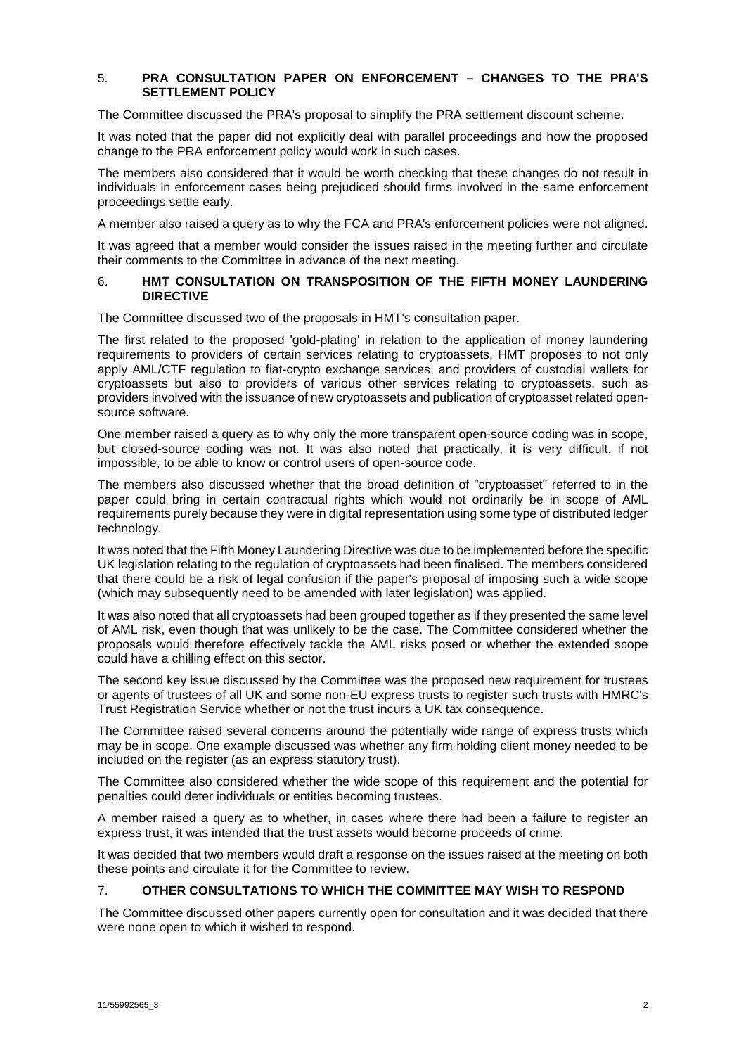### 5. **PRA CONSULTATION PAPER ON ENFORCEMENT – CHANGES TO THE PRA'S SETTLEMENT POLICY**

The Committee discussed the PRA's proposal to simplify the PRA settlement discount scheme.

It was noted that the paper did not explicitly deal with parallel proceedings and how the proposed change to the PRA enforcement policy would work in such cases.

The members also considered that it would be worth checking that these changes do not result in individuals in enforcement cases being prejudiced should firms involved in the same enforcement proceedings settle early.

A member also raised a query as to why the FCA and PRA's enforcement policies were not aligned.

It was agreed that a member would consider the issues raised in the meeting further and circulate their comments to the Committee in advance of the next meeting.

#### 6. **HMT CONSULTATION ON TRANSPOSITION OF THE FIFTH MONEY LAUNDERING DIRECTIVE**

The Committee discussed two of the proposals in HMT's consultation paper.

The first related to the proposed 'gold-plating' in relation to the application of money laundering requirements to providers of certain services relating to cryptoassets. HMT proposes to not only apply AML/CTF regulation to fiat-crypto exchange services, and providers of custodial wallets for cryptoassets but also to providers of various other services relating to cryptoassets, such as providers involved with the issuance of new cryptoassets and publication of cryptoasset related opensource software.

One member raised a query as to why only the more transparent open-source coding was in scope, but closed-source coding was not. It was also noted that practically, it is very difficult, if not impossible, to be able to know or control users of open-source code.

The members also discussed whether that the broad definition of "cryptoasset" referred to in the paper could bring in certain contractual rights which would not ordinarily be in scope of AML requirements purely because they were in digital representation using some type of distributed ledger technology.

It was noted that the Fifth Money Laundering Directive was due to be implemented before the specific UK legislation relating to the regulation of cryptoassets had been finalised. The members considered that there could be a risk of legal confusion if the paper's proposal of imposing such a wide scope (which may subsequently need to be amended with later legislation) was applied.

It was also noted that all cryptoassets had been grouped together as if they presented the same level of AML risk, even though that was unlikely to be the case. The Committee considered whether the proposals would therefore effectively tackle the AML risks posed or whether the extended scope could have a chilling effect on this sector.

The second key issue discussed by the Committee was the proposed new requirement for trustees or agents of trustees of all UK and some non-EU express trusts to register such trusts with HMRC's Trust Registration Service whether or not the trust incurs a UK tax consequence.

The Committee raised several concerns around the potentially wide range of express trusts which may be in scope. One example discussed was whether any firm holding client money needed to be included on the register (as an express statutory trust).

The Committee also considered whether the wide scope of this requirement and the potential for penalties could deter individuals or entities becoming trustees.

A member raised a query as to whether, in cases where there had been a failure to register an express trust, it was intended that the trust assets would become proceeds of crime.

It was decided that two members would draft a response on the issues raised at the meeting on both these points and circulate it for the Committee to review.

## 7. **OTHER CONSULTATIONS TO WHICH THE COMMITTEE MAY WISH TO RESPOND**

The Committee discussed other papers currently open for consultation and it was decided that there were none open to which it wished to respond.